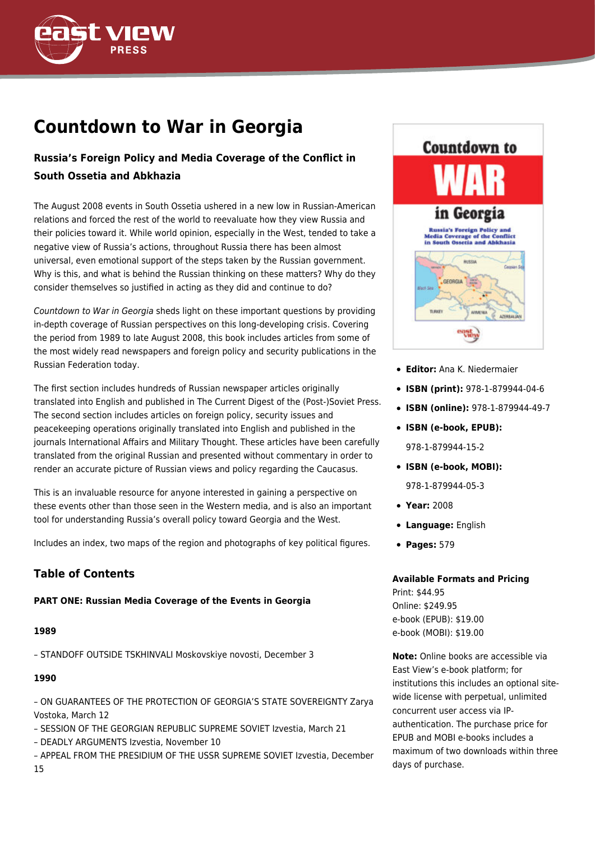

# **Countdown to War in Georgia**

# **Russia's Foreign Policy and Media Coverage of the Conflict in South Ossetia and Abkhazia**

The August 2008 events in South Ossetia ushered in a new low in Russian-American relations and forced the rest of the world to reevaluate how they view Russia and their policies toward it. While world opinion, especially in the West, tended to take a negative view of Russia's actions, throughout Russia there has been almost universal, even emotional support of the steps taken by the Russian government. Why is this, and what is behind the Russian thinking on these matters? Why do they consider themselves so justified in acting as they did and continue to do?

Countdown to War in Georgia sheds light on these important questions by providing in-depth coverage of Russian perspectives on this long-developing crisis. Covering the period from 1989 to late August 2008, this book includes articles from some of the most widely read newspapers and foreign policy and security publications in the Russian Federation today.

The first section includes hundreds of Russian newspaper articles originally translated into English and published in The Current Digest of the (Post-)Soviet Press. The second section includes articles on foreign policy, security issues and peacekeeping operations originally translated into English and published in the journals International Affairs and Military Thought. These articles have been carefully translated from the original Russian and presented without commentary in order to render an accurate picture of Russian views and policy regarding the Caucasus.

This is an invaluable resource for anyone interested in gaining a perspective on these events other than those seen in the Western media, and is also an important tool for understanding Russia's overall policy toward Georgia and the West.

Includes an index, two maps of the region and photographs of key political figures.

# **Table of Contents**

#### **PART ONE: Russian Media Coverage of the Events in Georgia**

#### **1989**

– STANDOFF OUTSIDE TSKHINVALI Moskovskiye novosti, December 3

#### **1990**

– ON GUARANTEES OF THE PROTECTION OF GEORGIA'S STATE SOVEREIGNTY Zarya Vostoka, March 12

- SESSION OF THE GEORGIAN REPUBLIC SUPREME SOVIET Izvestia, March 21
- DEADLY ARGUMENTS Izvestia, November 10

– APPEAL FROM THE PRESIDIUM OF THE USSR SUPREME SOVIET Izvestia, December 15



- **Editor:** Ana K. Niedermaier
- **ISBN (print):** 978-1-879944-04-6
- **ISBN (online):** 978-1-879944-49-7
- **ISBN (e-book, EPUB):** 978-1-879944-15-2
- **ISBN (e-book, MOBI):** 978-1-879944-05-3
- **Year:** 2008
- **Language:** English
- **Pages:** 579

#### **Available Formats and Pricing**

Print: \$44.95 Online: \$249.95 e-book (EPUB): \$19.00 e-book (MOBI): \$19.00

**Note:** Online books are accessible via East View's e-book platform; for institutions this includes an optional sitewide license with perpetual, unlimited concurrent user access via IPauthentication. The purchase price for EPUB and MOBI e-books includes a maximum of two downloads within three days of purchase.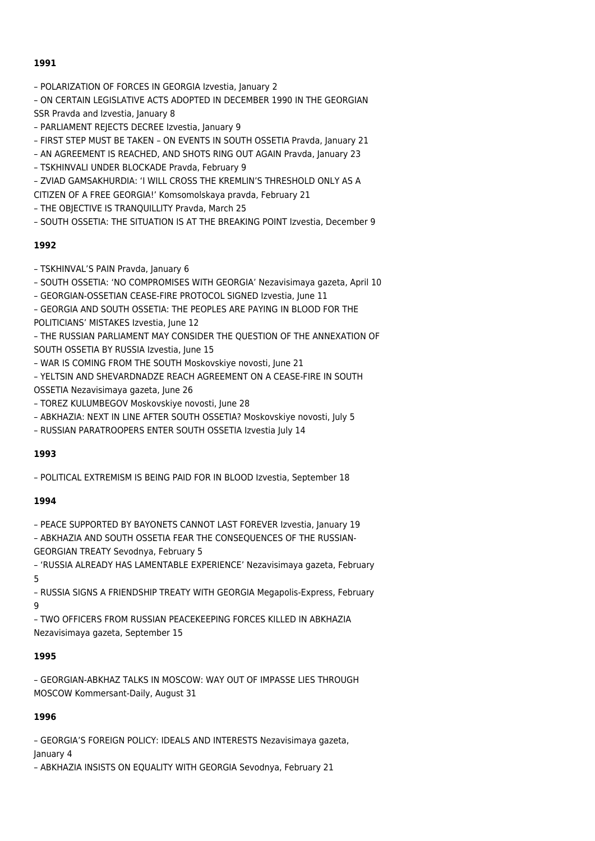– POLARIZATION OF FORCES IN GEORGIA Izvestia, January 2

– ON CERTAIN LEGISLATIVE ACTS ADOPTED IN DECEMBER 1990 IN THE GEORGIAN SSR Pravda and Izvestia, January 8

– PARLIAMENT REJECTS DECREE Izvestia, January 9

– FIRST STEP MUST BE TAKEN – ON EVENTS IN SOUTH OSSETIA Pravda, January 21

– AN AGREEMENT IS REACHED, AND SHOTS RING OUT AGAIN Pravda, January 23

– TSKHINVALI UNDER BLOCKADE Pravda, February 9

– ZVIAD GAMSAKHURDIA: 'I WILL CROSS THE KREMLIN'S THRESHOLD ONLY AS A

CITIZEN OF A FREE GEORGIA!' Komsomolskaya pravda, February 21

– THE OBJECTIVE IS TRANQUILLITY Pravda, March 25

– SOUTH OSSETIA: THE SITUATION IS AT THE BREAKING POINT Izvestia, December 9

#### **1992**

– TSKHINVAL'S PAIN Pravda, January 6

– SOUTH OSSETIA: 'NO COMPROMISES WITH GEORGIA' Nezavisimaya gazeta, April 10

– GEORGIAN-OSSETIAN CEASE-FIRE PROTOCOL SIGNED Izvestia, June 11

– GEORGIA AND SOUTH OSSETIA: THE PEOPLES ARE PAYING IN BLOOD FOR THE POLITICIANS' MISTAKES Izvestia, June 12

– THE RUSSIAN PARLIAMENT MAY CONSIDER THE QUESTION OF THE ANNEXATION OF SOUTH OSSETIA BY RUSSIA Izvestia, June 15

– WAR IS COMING FROM THE SOUTH Moskovskiye novosti, June 21

– YELTSIN AND SHEVARDNADZE REACH AGREEMENT ON A CEASE-FIRE IN SOUTH OSSETIA Nezavisimaya gazeta, June 26

– TOREZ KULUMBEGOV Moskovskiye novosti, June 28

– ABKHAZIA: NEXT IN LINE AFTER SOUTH OSSETIA? Moskovskiye novosti, July 5

– RUSSIAN PARATROOPERS ENTER SOUTH OSSETIA Izvestia July 14

#### **1993**

– POLITICAL EXTREMISM IS BEING PAID FOR IN BLOOD Izvestia, September 18

#### **1994**

– PEACE SUPPORTED BY BAYONETS CANNOT LAST FOREVER Izvestia, January 19

– ABKHAZIA AND SOUTH OSSETIA FEAR THE CONSEQUENCES OF THE RUSSIAN-GEORGIAN TREATY Sevodnya, February 5

– 'RUSSIA ALREADY HAS LAMENTABLE EXPERIENCE' Nezavisimaya gazeta, February 5

– RUSSIA SIGNS A FRIENDSHIP TREATY WITH GEORGIA Megapolis-Express, February 9

– TWO OFFICERS FROM RUSSIAN PEACEKEEPING FORCES KILLED IN ABKHAZIA Nezavisimaya gazeta, September 15

# **1995**

– GEORGIAN-ABKHAZ TALKS IN MOSCOW: WAY OUT OF IMPASSE LIES THROUGH MOSCOW Kommersant-Daily, August 31

#### **1996**

– GEORGIA'S FOREIGN POLICY: IDEALS AND INTERESTS Nezavisimaya gazeta, January 4

– ABKHAZIA INSISTS ON EQUALITY WITH GEORGIA Sevodnya, February 21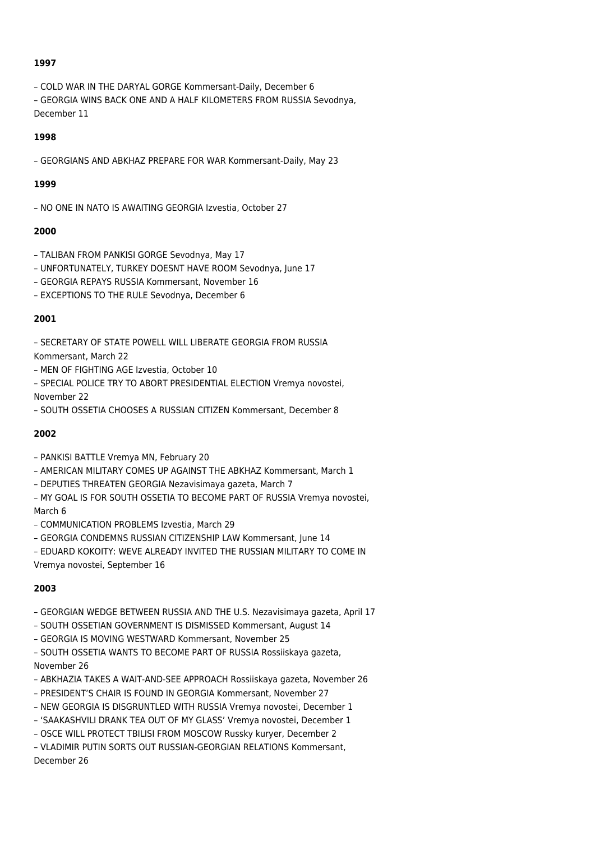- COLD WAR IN THE DARYAL GORGE Kommersant-Daily, December 6
- GEORGIA WINS BACK ONE AND A HALF KILOMETERS FROM RUSSIA Sevodnya, December 11

#### **1998**

– GEORGIANS AND ABKHAZ PREPARE FOR WAR Kommersant-Daily, May 23

#### **1999**

– NO ONE IN NATO IS AWAITING GEORGIA Izvestia, October 27

#### **2000**

- TALIBAN FROM PANKISI GORGE Sevodnya, May 17
- UNFORTUNATELY, TURKEY DOESNT HAVE ROOM Sevodnya, June 17
- GEORGIA REPAYS RUSSIA Kommersant, November 16
- EXCEPTIONS TO THE RULE Sevodnya, December 6

#### **2001**

– SECRETARY OF STATE POWELL WILL LIBERATE GEORGIA FROM RUSSIA

Kommersant, March 22

– MEN OF FIGHTING AGE Izvestia, October 10

– SPECIAL POLICE TRY TO ABORT PRESIDENTIAL ELECTION Vremya novostei, November 22

– SOUTH OSSETIA CHOOSES A RUSSIAN CITIZEN Kommersant, December 8

#### **2002**

– PANKISI BATTLE Vremya MN, February 20

– AMERICAN MILITARY COMES UP AGAINST THE ABKHAZ Kommersant, March 1

– DEPUTIES THREATEN GEORGIA Nezavisimaya gazeta, March 7

– MY GOAL IS FOR SOUTH OSSETIA TO BECOME PART OF RUSSIA Vremya novostei, March 6

– COMMUNICATION PROBLEMS Izvestia, March 29

– GEORGIA CONDEMNS RUSSIAN CITIZENSHIP LAW Kommersant, June 14

– EDUARD KOKOITY: WEVE ALREADY INVITED THE RUSSIAN MILITARY TO COME IN Vremya novostei, September 16

# **2003**

– GEORGIAN WEDGE BETWEEN RUSSIA AND THE U.S. Nezavisimaya gazeta, April 17

- SOUTH OSSETIAN GOVERNMENT IS DISMISSED Kommersant, August 14
- GEORGIA IS MOVING WESTWARD Kommersant, November 25

– SOUTH OSSETIA WANTS TO BECOME PART OF RUSSIA Rossiiskaya gazeta, November 26

– ABKHAZIA TAKES A WAIT-AND-SEE APPROACH Rossiiskaya gazeta, November 26

– PRESIDENT'S CHAIR IS FOUND IN GEORGIA Kommersant, November 27

- NEW GEORGIA IS DISGRUNTLED WITH RUSSIA Vremya novostei, December 1
- 'SAAKASHVILI DRANK TEA OUT OF MY GLASS' Vremya novostei, December 1

– OSCE WILL PROTECT TBILISI FROM MOSCOW Russky kuryer, December 2

– VLADIMIR PUTIN SORTS OUT RUSSIAN-GEORGIAN RELATIONS Kommersant, December 26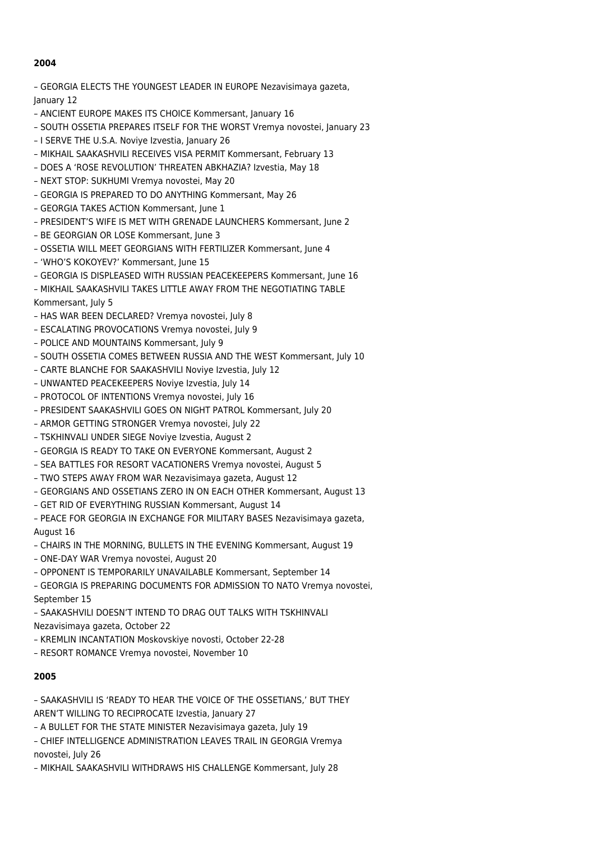- GEORGIA ELECTS THE YOUNGEST LEADER IN EUROPE Nezavisimaya gazeta, January 12
- ANCIENT EUROPE MAKES ITS CHOICE Kommersant, January 16
- SOUTH OSSETIA PREPARES ITSELF FOR THE WORST Vremya novostei, January 23
- I SERVE THE U.S.A. Noviye Izvestia, January 26
- MIKHAIL SAAKASHVILI RECEIVES VISA PERMIT Kommersant, February 13
- DOES A 'ROSE REVOLUTION' THREATEN ABKHAZIA? Izvestia, May 18
- NEXT STOP: SUKHUMI Vremya novostei, May 20
- GEORGIA IS PREPARED TO DO ANYTHING Kommersant, May 26
- GEORGIA TAKES ACTION Kommersant, June 1
- PRESIDENT'S WIFE IS MET WITH GRENADE LAUNCHERS Kommersant, June 2
- BE GEORGIAN OR LOSE Kommersant, June 3
- OSSETIA WILL MEET GEORGIANS WITH FERTILIZER Kommersant, June 4
- 'WHO'S KOKOYEV?' Kommersant, June 15
- GEORGIA IS DISPLEASED WITH RUSSIAN PEACEKEEPERS Kommersant, June 16
- MIKHAIL SAAKASHVILI TAKES LITTLE AWAY FROM THE NEGOTIATING TABLE Kommersant, July 5
- HAS WAR BEEN DECLARED? Vremya novostei, July 8
- ESCALATING PROVOCATIONS Vremya novostei, July 9
- POLICE AND MOUNTAINS Kommersant, July 9
- SOUTH OSSETIA COMES BETWEEN RUSSIA AND THE WEST Kommersant, July 10
- CARTE BLANCHE FOR SAAKASHVILI Noviye Izvestia, July 12
- UNWANTED PEACEKEEPERS Noviye Izvestia, July 14
- PROTOCOL OF INTENTIONS Vremya novostei, July 16
- PRESIDENT SAAKASHVILI GOES ON NIGHT PATROL Kommersant, July 20
- ARMOR GETTING STRONGER Vremya novostei, July 22
- TSKHINVALI UNDER SIEGE Noviye Izvestia, August 2
- GEORGIA IS READY TO TAKE ON EVERYONE Kommersant, August 2
- SEA BATTLES FOR RESORT VACATIONERS Vremya novostei, August 5
- TWO STEPS AWAY FROM WAR Nezavisimaya gazeta, August 12
- GEORGIANS AND OSSETIANS ZERO IN ON EACH OTHER Kommersant, August 13
- GET RID OF EVERYTHING RUSSIAN Kommersant, August 14
- PEACE FOR GEORGIA IN EXCHANGE FOR MILITARY BASES Nezavisimaya gazeta, August 16
- CHAIRS IN THE MORNING, BULLETS IN THE EVENING Kommersant, August 19
- ONE-DAY WAR Vremya novostei, August 20
- OPPONENT IS TEMPORARILY UNAVAILABLE Kommersant, September 14
- GEORGIA IS PREPARING DOCUMENTS FOR ADMISSION TO NATO Vremya novostei, September 15
- SAAKASHVILI DOESN'T INTEND TO DRAG OUT TALKS WITH TSKHINVALI
- Nezavisimaya gazeta, October 22
- KREMLIN INCANTATION Moskovskiye novosti, October 22-28
- RESORT ROMANCE Vremya novostei, November 10

#### **2005**

– SAAKASHVILI IS 'READY TO HEAR THE VOICE OF THE OSSETIANS,' BUT THEY AREN'T WILLING TO RECIPROCATE Izvestia, January 27

– A BULLET FOR THE STATE MINISTER Nezavisimaya gazeta, July 19

– CHIEF INTELLIGENCE ADMINISTRATION LEAVES TRAIL IN GEORGIA Vremya novostei, July 26

– MIKHAIL SAAKASHVILI WITHDRAWS HIS CHALLENGE Kommersant, July 28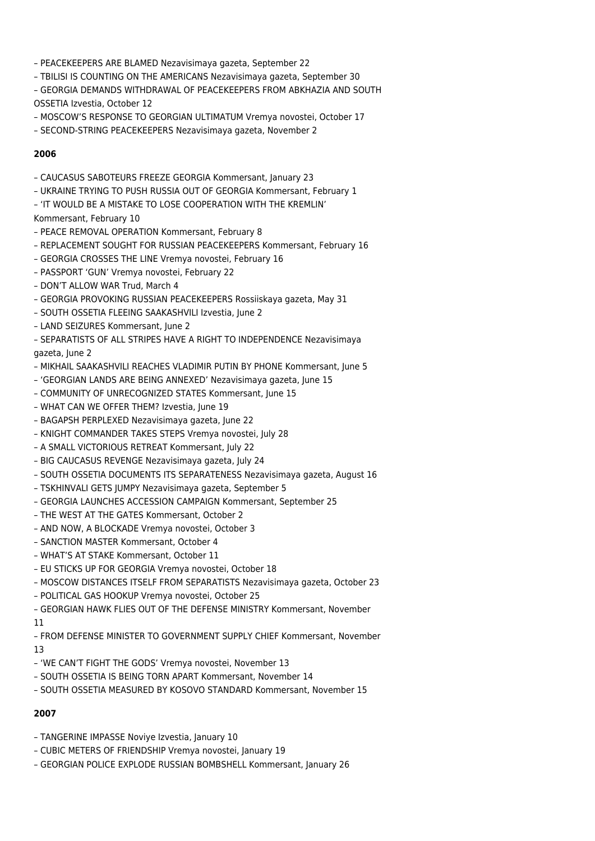- PEACEKEEPERS ARE BLAMED Nezavisimaya gazeta, September 22
- TBILISI IS COUNTING ON THE AMERICANS Nezavisimaya gazeta, September 30
- GEORGIA DEMANDS WITHDRAWAL OF PEACEKEEPERS FROM ABKHAZIA AND SOUTH OSSETIA Izvestia, October 12
- MOSCOW'S RESPONSE TO GEORGIAN ULTIMATUM Vremya novostei, October 17
- SECOND-STRING PEACEKEEPERS Nezavisimaya gazeta, November 2

- CAUCASUS SABOTEURS FREEZE GEORGIA Kommersant, January 23
- UKRAINE TRYING TO PUSH RUSSIA OUT OF GEORGIA Kommersant, February 1
- 'IT WOULD BE A MISTAKE TO LOSE COOPERATION WITH THE KREMLIN'
- Kommersant, February 10
- PEACE REMOVAL OPERATION Kommersant, February 8
- REPLACEMENT SOUGHT FOR RUSSIAN PEACEKEEPERS Kommersant, February 16
- GEORGIA CROSSES THE LINE Vremya novostei, February 16
- PASSPORT 'GUN' Vremya novostei, February 22
- DON'T ALLOW WAR Trud, March 4
- GEORGIA PROVOKING RUSSIAN PEACEKEEPERS Rossiiskaya gazeta, May 31
- SOUTH OSSETIA FLEEING SAAKASHVILI Izvestia, June 2
- LAND SEIZURES Kommersant, June 2
- SEPARATISTS OF ALL STRIPES HAVE A RIGHT TO INDEPENDENCE Nezavisimaya gazeta, June 2
- MIKHAIL SAAKASHVILI REACHES VLADIMIR PUTIN BY PHONE Kommersant, June 5
- 'GEORGIAN LANDS ARE BEING ANNEXED' Nezavisimaya gazeta, June 15
- COMMUNITY OF UNRECOGNIZED STATES Kommersant, June 15
- WHAT CAN WE OFFER THEM? Izvestia, June 19
- BAGAPSH PERPLEXED Nezavisimaya gazeta, June 22
- KNIGHT COMMANDER TAKES STEPS Vremya novostei, July 28
- A SMALL VICTORIOUS RETREAT Kommersant, July 22
- BIG CAUCASUS REVENGE Nezavisimaya gazeta, July 24
- SOUTH OSSETIA DOCUMENTS ITS SEPARATENESS Nezavisimaya gazeta, August 16
- TSKHINVALI GETS JUMPY Nezavisimaya gazeta, September 5
- GEORGIA LAUNCHES ACCESSION CAMPAIGN Kommersant, September 25
- THE WEST AT THE GATES Kommersant, October 2
- AND NOW, A BLOCKADE Vremya novostei, October 3
- SANCTION MASTER Kommersant, October 4
- WHAT'S AT STAKE Kommersant, October 11
- EU STICKS UP FOR GEORGIA Vremya novostei, October 18
- MOSCOW DISTANCES ITSELF FROM SEPARATISTS Nezavisimaya gazeta, October 23
- POLITICAL GAS HOOKUP Vremya novostei, October 25
- GEORGIAN HAWK FLIES OUT OF THE DEFENSE MINISTRY Kommersant, November
- 11
- FROM DEFENSE MINISTER TO GOVERNMENT SUPPLY CHIEF Kommersant, November 13
- 'WE CAN'T FIGHT THE GODS' Vremya novostei, November 13
- SOUTH OSSETIA IS BEING TORN APART Kommersant, November 14
- SOUTH OSSETIA MEASURED BY KOSOVO STANDARD Kommersant, November 15

#### **2007**

- TANGERINE IMPASSE Noviye Izvestia, January 10
- CUBIC METERS OF FRIENDSHIP Vremya novostei, January 19
- GEORGIAN POLICE EXPLODE RUSSIAN BOMBSHELL Kommersant, January 26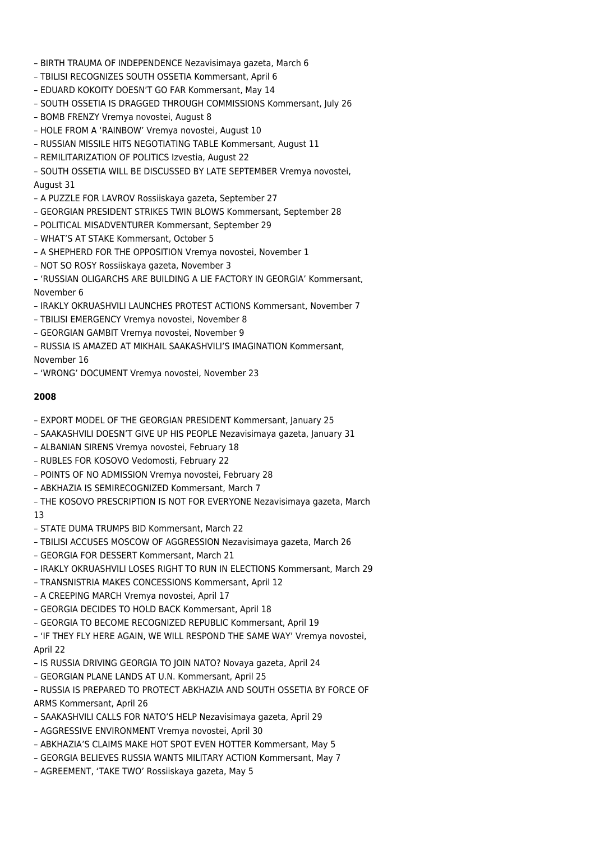- BIRTH TRAUMA OF INDEPENDENCE Nezavisimaya gazeta, March 6
- TBILISI RECOGNIZES SOUTH OSSETIA Kommersant, April 6
- EDUARD KOKOITY DOESN'T GO FAR Kommersant, May 14
- SOUTH OSSETIA IS DRAGGED THROUGH COMMISSIONS Kommersant, July 26
- BOMB FRENZY Vremya novostei, August 8
- HOLE FROM A 'RAINBOW' Vremya novostei, August 10
- RUSSIAN MISSILE HITS NEGOTIATING TABLE Kommersant, August 11
- REMILITARIZATION OF POLITICS Izvestia, August 22
- SOUTH OSSETIA WILL BE DISCUSSED BY LATE SEPTEMBER Vremya novostei, August 31
- A PUZZLE FOR LAVROV Rossiiskaya gazeta, September 27
- GEORGIAN PRESIDENT STRIKES TWIN BLOWS Kommersant, September 28
- POLITICAL MISADVENTURER Kommersant, September 29
- WHAT'S AT STAKE Kommersant, October 5
- A SHEPHERD FOR THE OPPOSITION Vremya novostei, November 1
- NOT SO ROSY Rossiiskaya gazeta, November 3
- 'RUSSIAN OLIGARCHS ARE BUILDING A LIE FACTORY IN GEORGIA' Kommersant, November 6
- IRAKLY OKRUASHVILI LAUNCHES PROTEST ACTIONS Kommersant, November 7
- TBILISI EMERGENCY Vremya novostei, November 8
- GEORGIAN GAMBIT Vremya novostei, November 9
- RUSSIA IS AMAZED AT MIKHAIL SAAKASHVILI'S IMAGINATION Kommersant,

November 16

– 'WRONG' DOCUMENT Vremya novostei, November 23

#### **2008**

- EXPORT MODEL OF THE GEORGIAN PRESIDENT Kommersant, January 25
- SAAKASHVILI DOESN'T GIVE UP HIS PEOPLE Nezavisimaya gazeta, January 31
- ALBANIAN SIRENS Vremya novostei, February 18
- RUBLES FOR KOSOVO Vedomosti, February 22
- POINTS OF NO ADMISSION Vremya novostei, February 28
- ABKHAZIA IS SEMIRECOGNIZED Kommersant, March 7
- THE KOSOVO PRESCRIPTION IS NOT FOR EVERYONE Nezavisimaya gazeta, March

13

- STATE DUMA TRUMPS BID Kommersant, March 22
- TBILISI ACCUSES MOSCOW OF AGGRESSION Nezavisimaya gazeta, March 26
- GEORGIA FOR DESSERT Kommersant, March 21
- IRAKLY OKRUASHVILI LOSES RIGHT TO RUN IN ELECTIONS Kommersant, March 29
- TRANSNISTRIA MAKES CONCESSIONS Kommersant, April 12
- A CREEPING MARCH Vremya novostei, April 17
- GEORGIA DECIDES TO HOLD BACK Kommersant, April 18
- GEORGIA TO BECOME RECOGNIZED REPUBLIC Kommersant, April 19
- 'IF THEY FLY HERE AGAIN, WE WILL RESPOND THE SAME WAY' Vremya novostei, April 22
- IS RUSSIA DRIVING GEORGIA TO JOIN NATO? Novaya gazeta, April 24
- GEORGIAN PLANE LANDS AT U.N. Kommersant, April 25
- RUSSIA IS PREPARED TO PROTECT ABKHAZIA AND SOUTH OSSETIA BY FORCE OF ARMS Kommersant, April 26
- SAAKASHVILI CALLS FOR NATO'S HELP Nezavisimaya gazeta, April 29
- AGGRESSIVE ENVIRONMENT Vremya novostei, April 30
- ABKHAZIA'S CLAIMS MAKE HOT SPOT EVEN HOTTER Kommersant, May 5
- GEORGIA BELIEVES RUSSIA WANTS MILITARY ACTION Kommersant, May 7
- AGREEMENT, 'TAKE TWO' Rossiiskaya gazeta, May 5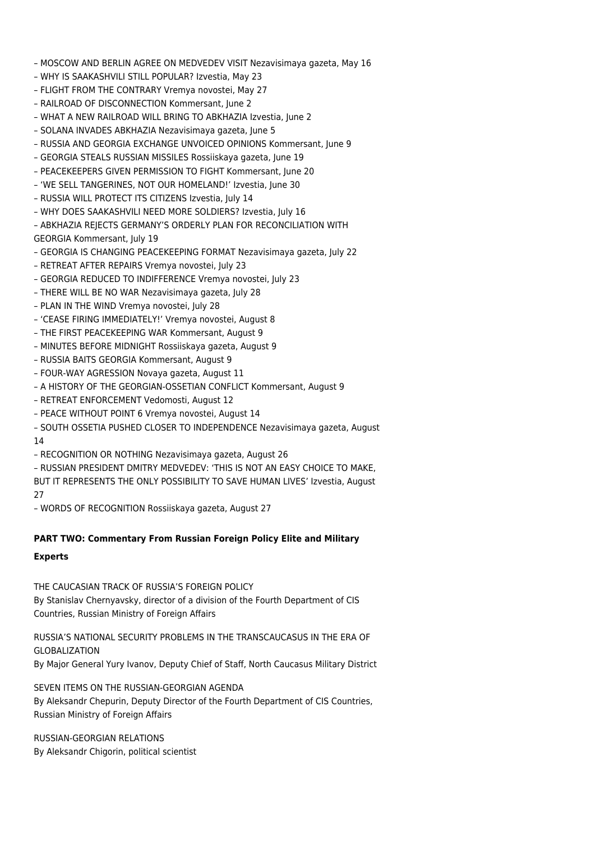- MOSCOW AND BERLIN AGREE ON MEDVEDEV VISIT Nezavisimaya gazeta, May 16
- WHY IS SAAKASHVILI STILL POPULAR? Izvestia, May 23
- FLIGHT FROM THE CONTRARY Vremya novostei, May 27
- RAILROAD OF DISCONNECTION Kommersant, June 2
- WHAT A NEW RAILROAD WILL BRING TO ABKHAZIA Izvestia, June 2
- SOLANA INVADES ABKHAZIA Nezavisimaya gazeta, June 5
- RUSSIA AND GEORGIA EXCHANGE UNVOICED OPINIONS Kommersant, June 9
- GEORGIA STEALS RUSSIAN MISSILES Rossiiskaya gazeta, June 19
- PEACEKEEPERS GIVEN PERMISSION TO FIGHT Kommersant, June 20
- 'WE SELL TANGERINES, NOT OUR HOMELAND!' Izvestia, June 30
- RUSSIA WILL PROTECT ITS CITIZENS Izvestia, July 14
- WHY DOES SAAKASHVILI NEED MORE SOLDIERS? Izvestia, July 16
- ABKHAZIA REJECTS GERMANY'S ORDERLY PLAN FOR RECONCILIATION WITH GEORGIA Kommersant, July 19
- GEORGIA IS CHANGING PEACEKEEPING FORMAT Nezavisimaya gazeta, July 22
- RETREAT AFTER REPAIRS Vremya novostei, July 23
- GEORGIA REDUCED TO INDIFFERENCE Vremya novostei, July 23
- THERE WILL BE NO WAR Nezavisimaya gazeta, July 28
- PLAN IN THE WIND Vremya novostei, July 28
- 'CEASE FIRING IMMEDIATELY!' Vremya novostei, August 8
- THE FIRST PEACEKEEPING WAR Kommersant, August 9
- MINUTES BEFORE MIDNIGHT Rossiiskaya gazeta, August 9
- RUSSIA BAITS GEORGIA Kommersant, August 9
- FOUR-WAY AGRESSION Novaya gazeta, August 11
- A HISTORY OF THE GEORGIAN-OSSETIAN CONFLICT Kommersant, August 9
- RETREAT ENFORCEMENT Vedomosti, August 12
- PEACE WITHOUT POINT 6 Vremya novostei, August 14
- SOUTH OSSETIA PUSHED CLOSER TO INDEPENDENCE Nezavisimaya gazeta, August 14
- RECOGNITION OR NOTHING Nezavisimaya gazeta, August 26
- RUSSIAN PRESIDENT DMITRY MEDVEDEV: 'THIS IS NOT AN EASY CHOICE TO MAKE, BUT IT REPRESENTS THE ONLY POSSIBILITY TO SAVE HUMAN LIVES' Izvestia, August  $27$

– WORDS OF RECOGNITION Rossiiskaya gazeta, August 27

# **PART TWO: Commentary From Russian Foreign Policy Elite and Military**

#### **Experts**

THE CAUCASIAN TRACK OF RUSSIA'S FOREIGN POLICY By Stanislav Chernyavsky, director of a division of the Fourth Department of CIS Countries, Russian Ministry of Foreign Affairs

RUSSIA'S NATIONAL SECURITY PROBLEMS IN THE TRANSCAUCASUS IN THE ERA OF GLOBALIZATION By Major General Yury Ivanov, Deputy Chief of Staff, North Caucasus Military District

SEVEN ITEMS ON THE RUSSIAN-GEORGIAN AGENDA By Aleksandr Chepurin, Deputy Director of the Fourth Department of CIS Countries, Russian Ministry of Foreign Affairs

RUSSIAN-GEORGIAN RELATIONS By Aleksandr Chigorin, political scientist